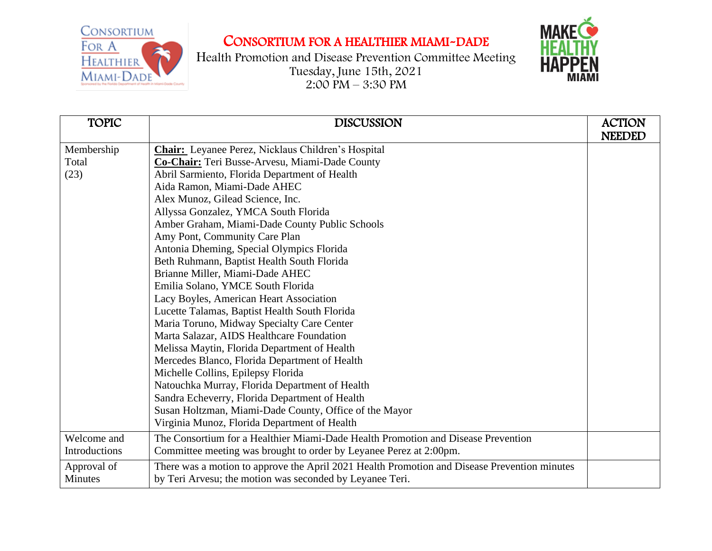CONSORTIUM FOR A **HEALTHIER** MIAMI-DADE

## CONSORTIUM FOR A HEALTHIER MIAMI-DADE

Health Promotion and Disease Prevention Committee Meeting Tuesday, June 15th, 2021  $2:00 \text{ PM} - 3:30 \text{ PM}$ 



| <b>TOPIC</b>  | <b>DISCUSSION</b>                                                                            | <b>ACTION</b><br><b>NEEDED</b> |
|---------------|----------------------------------------------------------------------------------------------|--------------------------------|
| Membership    | <b>Chair:</b> Leyanee Perez, Nicklaus Children's Hospital                                    |                                |
| Total         | Co-Chair: Teri Busse-Arvesu, Miami-Dade County                                               |                                |
| (23)          | Abril Sarmiento, Florida Department of Health                                                |                                |
|               | Aida Ramon, Miami-Dade AHEC                                                                  |                                |
|               | Alex Munoz, Gilead Science, Inc.                                                             |                                |
|               | Allyssa Gonzalez, YMCA South Florida                                                         |                                |
|               | Amber Graham, Miami-Dade County Public Schools                                               |                                |
|               | Amy Pont, Community Care Plan                                                                |                                |
|               | Antonia Dheming, Special Olympics Florida                                                    |                                |
|               | Beth Ruhmann, Baptist Health South Florida                                                   |                                |
|               | Brianne Miller, Miami-Dade AHEC                                                              |                                |
|               | Emilia Solano, YMCE South Florida                                                            |                                |
|               | Lacy Boyles, American Heart Association                                                      |                                |
|               | Lucette Talamas, Baptist Health South Florida                                                |                                |
|               | Maria Toruno, Midway Specialty Care Center                                                   |                                |
|               | Marta Salazar, AIDS Healthcare Foundation                                                    |                                |
|               | Melissa Maytin, Florida Department of Health                                                 |                                |
|               | Mercedes Blanco, Florida Department of Health                                                |                                |
|               | Michelle Collins, Epilepsy Florida                                                           |                                |
|               | Natouchka Murray, Florida Department of Health                                               |                                |
|               | Sandra Echeverry, Florida Department of Health                                               |                                |
|               | Susan Holtzman, Miami-Dade County, Office of the Mayor                                       |                                |
|               | Virginia Munoz, Florida Department of Health                                                 |                                |
| Welcome and   | The Consortium for a Healthier Miami-Dade Health Promotion and Disease Prevention            |                                |
| Introductions | Committee meeting was brought to order by Leyanee Perez at 2:00pm.                           |                                |
| Approval of   | There was a motion to approve the April 2021 Health Promotion and Disease Prevention minutes |                                |
| Minutes       | by Teri Arvesu; the motion was seconded by Leyanee Teri.                                     |                                |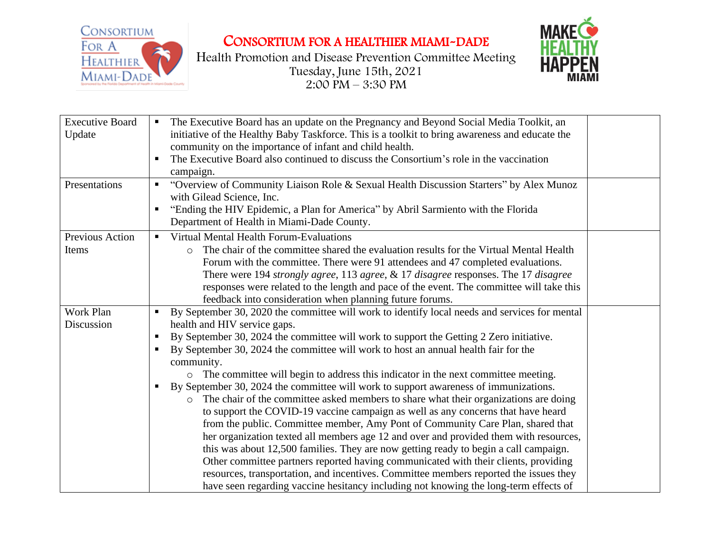

CONSORTIUM FOR A HEALTHIER MIAMI-DADE

Health Promotion and Disease Prevention Committee Meeting Tuesday, June 15th, 2021  $2:00 \text{ } \text{PM} - 3:30 \text{ } \text{PM}$ 



| <b>Executive Board</b><br>Update | The Executive Board has an update on the Pregnancy and Beyond Social Media Toolkit, an<br>$\blacksquare$<br>initiative of the Healthy Baby Taskforce. This is a toolkit to bring awareness and educate the<br>community on the importance of infant and child health.<br>The Executive Board also continued to discuss the Consortium's role in the vaccination<br>٠<br>campaign.                                                                                                                                                                                                                                                                                                                                                                                                                                                                                                                                                                                                                                                                                                                                                                                                                                                                                                |
|----------------------------------|----------------------------------------------------------------------------------------------------------------------------------------------------------------------------------------------------------------------------------------------------------------------------------------------------------------------------------------------------------------------------------------------------------------------------------------------------------------------------------------------------------------------------------------------------------------------------------------------------------------------------------------------------------------------------------------------------------------------------------------------------------------------------------------------------------------------------------------------------------------------------------------------------------------------------------------------------------------------------------------------------------------------------------------------------------------------------------------------------------------------------------------------------------------------------------------------------------------------------------------------------------------------------------|
| Presentations                    | "Overview of Community Liaison Role & Sexual Health Discussion Starters" by Alex Munoz<br>п<br>with Gilead Science, Inc.<br>"Ending the HIV Epidemic, a Plan for America" by Abril Sarmiento with the Florida<br>п<br>Department of Health in Miami-Dade County.                                                                                                                                                                                                                                                                                                                                                                                                                                                                                                                                                                                                                                                                                                                                                                                                                                                                                                                                                                                                                 |
| Previous Action<br>Items         | Virtual Mental Health Forum-Evaluations<br>$\blacksquare$<br>The chair of the committee shared the evaluation results for the Virtual Mental Health<br>$\circ$<br>Forum with the committee. There were 91 attendees and 47 completed evaluations.<br>There were 194 strongly agree, 113 agree, & 17 disagree responses. The 17 disagree<br>responses were related to the length and pace of the event. The committee will take this<br>feedback into consideration when planning future forums.                                                                                                                                                                                                                                                                                                                                                                                                                                                                                                                                                                                                                                                                                                                                                                                  |
| Work Plan<br>Discussion          | By September 30, 2020 the committee will work to identify local needs and services for mental<br>$\blacksquare$<br>health and HIV service gaps.<br>By September 30, 2024 the committee will work to support the Getting 2 Zero initiative.<br>ш<br>By September 30, 2024 the committee will work to host an annual health fair for the<br>п<br>community.<br>o The committee will begin to address this indicator in the next committee meeting.<br>By September 30, 2024 the committee will work to support awareness of immunizations.<br>п<br>The chair of the committee asked members to share what their organizations are doing<br>$\circ$<br>to support the COVID-19 vaccine campaign as well as any concerns that have heard<br>from the public. Committee member, Amy Pont of Community Care Plan, shared that<br>her organization texted all members age 12 and over and provided them with resources,<br>this was about 12,500 families. They are now getting ready to begin a call campaign.<br>Other committee partners reported having communicated with their clients, providing<br>resources, transportation, and incentives. Committee members reported the issues they<br>have seen regarding vaccine hesitancy including not knowing the long-term effects of |